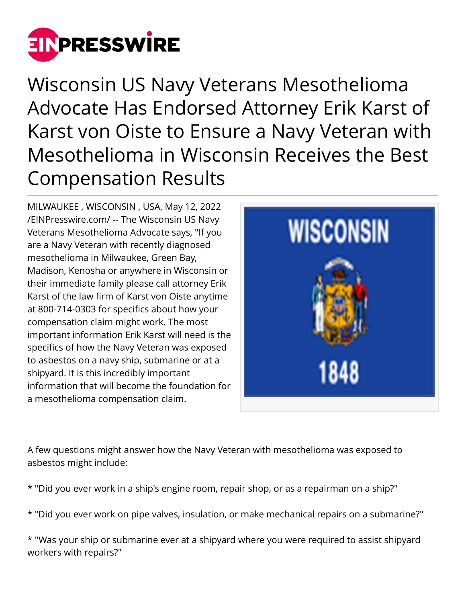

Wisconsin US Navy Veterans Mesothelioma Advocate Has Endorsed Attorney Erik Karst of Karst von Oiste to Ensure a Navy Veteran with Mesothelioma in Wisconsin Receives the Best Compensation Results

MILWAUKEE , WISCONSIN , USA, May 12, 2022 [/EINPresswire.com/](http://www.einpresswire.com) -- The Wisconsin US Navy Veterans Mesothelioma Advocate says, "If you are a Navy Veteran with recently diagnosed mesothelioma in Milwaukee, Green Bay, Madison, Kenosha or anywhere in Wisconsin or their immediate family please call attorney Erik Karst of the law firm of Karst von Oiste anytime at 800-714-0303 for specifics about how your compensation claim might work. The most important information Erik Karst will need is the specifics of how the Navy Veteran was exposed to asbestos on a navy ship, submarine or at a shipyard. It is this incredibly important information that will become the foundation for a mesothelioma compensation claim.



A few questions might answer how the Navy Veteran with mesothelioma was exposed to asbestos might include:

- \* "Did you ever work in a ship's engine room, repair shop, or as a repairman on a ship?"
- \* "Did you ever work on pipe valves, insulation, or make mechanical repairs on a submarine?"

\* "Was your ship or submarine ever at a shipyard where you were required to assist shipyard workers with repairs?"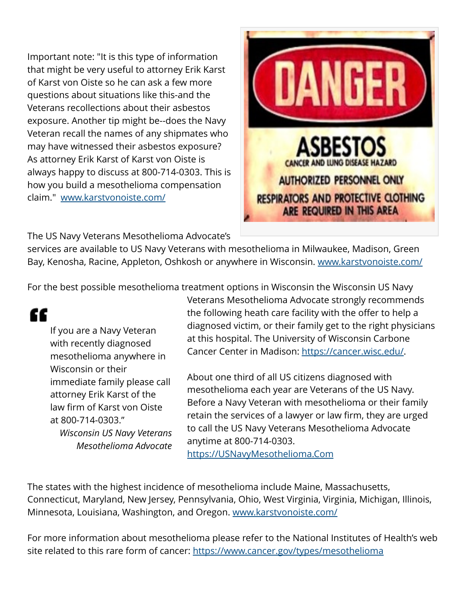Important note: "It is this type of information that might be very useful to attorney Erik Karst of Karst von Oiste so he can ask a few more questions about situations like this-and the Veterans recollections about their asbestos exposure. Another tip might be--does the Navy Veteran recall the names of any shipmates who may have witnessed their asbestos exposure? As attorney Erik Karst of Karst von Oiste is always happy to discuss at 800-714-0303. This is how you build a mesothelioma compensation claim." [www.karstvonoiste.com/](http://www.karstvonoiste.com/)



The US Navy Veterans Mesothelioma Advocate's

services are available to US Navy Veterans with mesothelioma in Milwaukee, Madison, Green Bay, Kenosha, Racine, Appleton, Oshkosh or anywhere in Wisconsin. [www.karstvonoiste.com/](http://www.karstvonoiste.com/)

For the best possible mesothelioma treatment options in Wisconsin the Wisconsin US Navy

## "

If you are a Navy Veteran with recently diagnosed mesothelioma anywhere in Wisconsin or their immediate family please call attorney Erik Karst of the law firm of Karst von Oiste at 800-714-0303." *Wisconsin US Navy Veterans Mesothelioma Advocate* Veterans Mesothelioma Advocate strongly recommends the following heath care facility with the offer to help a diagnosed victim, or their family get to the right physicians at this hospital. The University of Wisconsin Carbone Cancer Center in Madison: [https://cancer.wisc.edu/.](https://cancer.wisc.edu/)

About one third of all US citizens diagnosed with mesothelioma each year are Veterans of the US Navy. Before a Navy Veteran with mesothelioma or their family retain the services of a lawyer or law firm, they are urged to call the US Navy Veterans Mesothelioma Advocate anytime at 800-714-0303. <https://USNavyMesothelioma.Com>

The states with the highest incidence of mesothelioma include Maine, Massachusetts, Connecticut, Maryland, New Jersey, Pennsylvania, Ohio, West Virginia, Virginia, Michigan, Illinois, Minnesota, Louisiana, Washington, and Oregon. [www.karstvonoiste.com/](http://www.karstvonoiste.com/)

For more information about mesothelioma please refer to the National Institutes of Health's web site related to this rare form of cancer:<https://www.cancer.gov/types/mesothelioma>